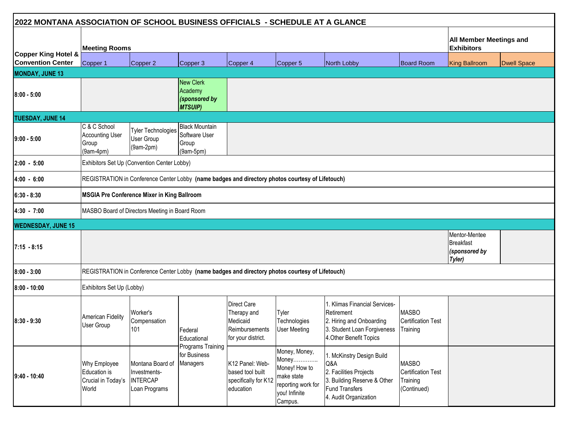| 2022 MONTANA ASSOCIATION OF SCHOOL BUSINESS OFFICIALS - SCHEDULE AT A GLANCE |                                                                |                                                                                                  |                                                                |                                                                                |                                                                                                         |                                                                                                                                      |                                                                      |                                                              |                         |  |
|------------------------------------------------------------------------------|----------------------------------------------------------------|--------------------------------------------------------------------------------------------------|----------------------------------------------------------------|--------------------------------------------------------------------------------|---------------------------------------------------------------------------------------------------------|--------------------------------------------------------------------------------------------------------------------------------------|----------------------------------------------------------------------|--------------------------------------------------------------|-------------------------|--|
|                                                                              | <b>Meeting Rooms</b>                                           |                                                                                                  |                                                                |                                                                                |                                                                                                         |                                                                                                                                      |                                                                      | <b>Exhibitors</b>                                            | All Member Meetings and |  |
| Copper King Hotel &<br><b>Convention Center</b>                              | Copper 1                                                       | Copper 2                                                                                         | Copper 3                                                       | Copper 4                                                                       | Copper 5                                                                                                | North Lobby                                                                                                                          | <b>Board Room</b>                                                    | <b>King Ballroom</b>                                         | <b>Dwell Space</b>      |  |
| <b>MONDAY, JUNE 13</b>                                                       |                                                                |                                                                                                  |                                                                |                                                                                |                                                                                                         |                                                                                                                                      |                                                                      |                                                              |                         |  |
| $8:00 - 5:00$                                                                |                                                                |                                                                                                  | New Clerk<br>Academy<br>(sponsored by<br><b>MTSUIP)</b>        |                                                                                |                                                                                                         |                                                                                                                                      |                                                                      |                                                              |                         |  |
| <b>TUESDAY, JUNE 14</b>                                                      |                                                                |                                                                                                  |                                                                |                                                                                |                                                                                                         |                                                                                                                                      |                                                                      |                                                              |                         |  |
| $ 9:00 - 5:00 $                                                              | C & C School<br><b>Accounting User</b><br>Group<br>$(9am-4pm)$ | <b>Tyler Technologies</b><br>User Group<br>$(9am-2pm)$                                           | <b>Black Mountain</b><br>Software User<br>Group<br>$(9am-5pm)$ |                                                                                |                                                                                                         |                                                                                                                                      |                                                                      |                                                              |                         |  |
| $2:00 - 5:00$                                                                |                                                                | Exhibitors Set Up (Convention Center Lobby)                                                      |                                                                |                                                                                |                                                                                                         |                                                                                                                                      |                                                                      |                                                              |                         |  |
| $ 4:00 - 6:00 $                                                              |                                                                | REGISTRATION in Conference Center Lobby (name badges and directory photos courtesy of Lifetouch) |                                                                |                                                                                |                                                                                                         |                                                                                                                                      |                                                                      |                                                              |                         |  |
| $6:30 - 8:30$                                                                |                                                                | <b>MSGIA Pre Conference Mixer in King Ballroom</b>                                               |                                                                |                                                                                |                                                                                                         |                                                                                                                                      |                                                                      |                                                              |                         |  |
| 4:30 - 7:00                                                                  |                                                                | MASBO Board of Directors Meeting in Board Room                                                   |                                                                |                                                                                |                                                                                                         |                                                                                                                                      |                                                                      |                                                              |                         |  |
| <b>WEDNESDAY, JUNE 15</b>                                                    |                                                                |                                                                                                  |                                                                |                                                                                |                                                                                                         |                                                                                                                                      |                                                                      |                                                              |                         |  |
| $7:15 - 8:15$                                                                |                                                                |                                                                                                  |                                                                |                                                                                |                                                                                                         |                                                                                                                                      |                                                                      | Mentor-Mentee<br><b>Breakfast</b><br>(sponsored by<br>Tyler) |                         |  |
| $8:00 - 3:00$                                                                |                                                                | REGISTRATION in Conference Center Lobby (name badges and directory photos courtesy of Lifetouch) |                                                                |                                                                                |                                                                                                         |                                                                                                                                      |                                                                      |                                                              |                         |  |
| $8:00 - 10:00$                                                               | Exhibitors Set Up (Lobby)                                      |                                                                                                  |                                                                |                                                                                |                                                                                                         |                                                                                                                                      |                                                                      |                                                              |                         |  |
| $18:30 - 9:30$                                                               | American Fidelity<br>User Group                                | Worker's<br>Compensation<br>101                                                                  | Federal<br>Educational                                         | Direct Care<br>Therapy and<br>Medicaid<br>Reimbursements<br>for your district. | Tyler<br>Technologies<br><b>User Meeting</b>                                                            | 1. Klimas Financial Services-<br>Retirement<br>2. Hiring and Onboarding<br>3. Student Loan Forgiveness<br>4. Other Benefit Topics    | <b>MASBO</b><br><b>Certification Test</b><br>Training                |                                                              |                         |  |
| $9:40 - 10:40$                                                               | Why Employee<br>Education is<br>Crucial in Today's<br>World    | Montana Board of<br>Investments-<br><b>INTERCAP</b><br>Loan Programs                             | Programs Training<br>for Business<br>Managers                  | K12 Panel: Web-<br>based tool built<br>specifically for K12<br>education       | Money, Money,<br>Money<br>Money! How to<br>make state<br>reporting work for<br>you! Infinite<br>Campus. | 1. McKinstry Design Build<br>Q&A<br>2. Facilities Projects<br>3. Building Reserve & Other<br>Fund Transfers<br>4. Audit Organization | <b>MASBO</b><br><b>Certification Test</b><br>Training<br>(Continued) |                                                              |                         |  |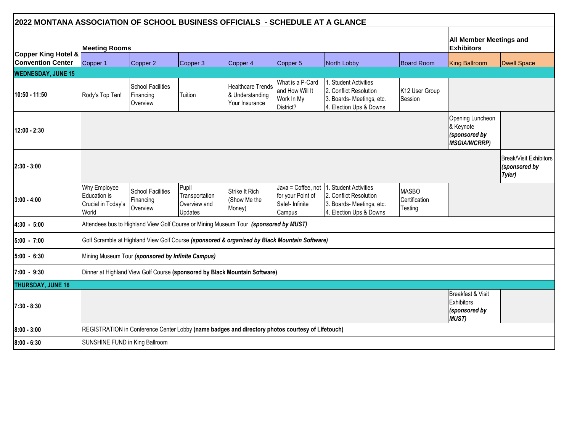| 2022 MONTANA ASSOCIATION OF SCHOOL BUSINESS OFFICIALS - SCHEDULE AT A GLANCE |                                                             |                                                   |                                                           |                                                                                                  |                                                                      |                                                                                                         |                                          |                                                                       |                                                   |  |
|------------------------------------------------------------------------------|-------------------------------------------------------------|---------------------------------------------------|-----------------------------------------------------------|--------------------------------------------------------------------------------------------------|----------------------------------------------------------------------|---------------------------------------------------------------------------------------------------------|------------------------------------------|-----------------------------------------------------------------------|---------------------------------------------------|--|
|                                                                              | <b>Meeting Rooms</b>                                        |                                                   |                                                           |                                                                                                  |                                                                      |                                                                                                         |                                          |                                                                       |                                                   |  |
| Copper King Hotel &<br><b>Convention Center</b>                              | Copper 1                                                    | Copper 2                                          | Copper 3                                                  | Copper 4                                                                                         | Copper 5                                                             | North Lobby                                                                                             | <b>Board Room</b>                        | <b>King Ballroom</b>                                                  | <b>Dwell Space</b>                                |  |
| <b>WEDNESDAY, JUNE 15</b>                                                    |                                                             |                                                   |                                                           |                                                                                                  |                                                                      |                                                                                                         |                                          |                                                                       |                                                   |  |
| 10:50 - 11:50                                                                | Rody's Top Ten!                                             | <b>School Facilities</b><br>Financing<br>Overview | Tuition                                                   | <b>Healthcare Trends</b><br>& Understanding<br>Your Insurance                                    | What is a P-Card<br>and How Will It<br>Work In My<br>District?       | 1. Student Activities<br>2. Conflict Resolution<br>3. Boards- Meetings, etc.<br>4. Election Ups & Downs | K12 User Group<br>Session                |                                                                       |                                                   |  |
| 12:00 - 2:30                                                                 |                                                             |                                                   |                                                           |                                                                                                  |                                                                      |                                                                                                         |                                          | Opening Luncheon<br>& Keynote<br>(sponsored by<br><b>MSGIA/WCRRP)</b> |                                                   |  |
| $2:30 - 3:00$                                                                |                                                             |                                                   |                                                           |                                                                                                  |                                                                      |                                                                                                         |                                          |                                                                       | Break/Visit Exhibitors<br>(sponsored by<br>Tyler) |  |
| $3:00 - 4:00$                                                                | Why Employee<br>Education is<br>Crucial in Today's<br>World | <b>School Facilities</b><br>Financing<br>Overview | Pupil<br>Transportation<br>Overview and<br><b>Updates</b> | Strike It Rich<br>(Show Me the<br>Money)                                                         | Java = Coffee, not<br>for your Point of<br>Sale!- Infinite<br>Campus | Student Activities<br>2. Conflict Resolution<br>3. Boards- Meetings, etc.<br>4. Election Ups & Downs    | <b>MASBO</b><br>Certification<br>Testing |                                                                       |                                                   |  |
| $4:30 - 5:00$                                                                |                                                             |                                                   |                                                           | Attendees bus to Highland View Golf Course or Mining Museum Tour (sponsored by MUST)             |                                                                      |                                                                                                         |                                          |                                                                       |                                                   |  |
| 5:00 - 7:00                                                                  |                                                             |                                                   |                                                           | Golf Scramble at Highland View Golf Course (sponsored & organized by Black Mountain Software)    |                                                                      |                                                                                                         |                                          |                                                                       |                                                   |  |
| $5:00 - 6:30$                                                                |                                                             | Mining Museum Tour (sponsored by Infinite Campus) |                                                           |                                                                                                  |                                                                      |                                                                                                         |                                          |                                                                       |                                                   |  |
| 7:00 - 9:30                                                                  |                                                             |                                                   |                                                           | Dinner at Highland View Golf Course (sponsored by Black Mountain Software)                       |                                                                      |                                                                                                         |                                          |                                                                       |                                                   |  |
| <b>THURSDAY, JUNE 16</b>                                                     |                                                             |                                                   |                                                           |                                                                                                  |                                                                      |                                                                                                         |                                          |                                                                       |                                                   |  |
| 7:30 - 8:30                                                                  |                                                             |                                                   |                                                           |                                                                                                  |                                                                      |                                                                                                         |                                          | Breakfast & Visit<br>Exhibitors<br>(sponsored by<br><b>MUST)</b>      |                                                   |  |
| $8:00 - 3:00$                                                                |                                                             |                                                   |                                                           | REGISTRATION in Conference Center Lobby (name badges and directory photos courtesy of Lifetouch) |                                                                      |                                                                                                         |                                          |                                                                       |                                                   |  |
| $8:00 - 6:30$                                                                | SUNSHINE FUND in King Ballroom                              |                                                   |                                                           |                                                                                                  |                                                                      |                                                                                                         |                                          |                                                                       |                                                   |  |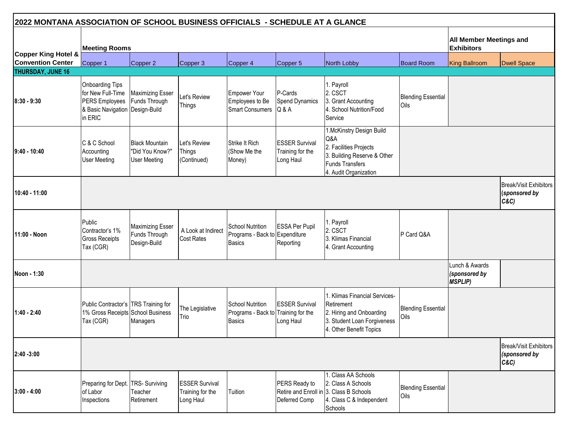|                                                 | 2022 MONTANA ASSOCIATION OF SCHOOL BUSINESS OFFICIALS - SCHEDULE AT A GLANCE                                |                                                                 |                                                        |                                                                     |                                                        |                                                                                                                                             |                                   |                                                     |                                                |
|-------------------------------------------------|-------------------------------------------------------------------------------------------------------------|-----------------------------------------------------------------|--------------------------------------------------------|---------------------------------------------------------------------|--------------------------------------------------------|---------------------------------------------------------------------------------------------------------------------------------------------|-----------------------------------|-----------------------------------------------------|------------------------------------------------|
|                                                 | <b>Meeting Rooms</b>                                                                                        |                                                                 |                                                        |                                                                     |                                                        |                                                                                                                                             |                                   | <b>All Member Meetings and</b><br><b>Exhibitors</b> |                                                |
| Copper King Hotel &<br><b>Convention Center</b> | Copper 1                                                                                                    | Copper 2                                                        | Copper 3                                               | Copper 4                                                            | Copper 5                                               | North Lobby                                                                                                                                 | <b>Board Room</b>                 | King Ballroom                                       | <b>Dwell Space</b>                             |
| THURSDAY, JUNE 16                               |                                                                                                             |                                                                 |                                                        |                                                                     |                                                        |                                                                                                                                             |                                   |                                                     |                                                |
| $8:30 - 9:30$                                   | <b>Onboarding Tips</b><br>for New Full-Time<br>PERS Employees<br>& Basic Navigation Design-Build<br>in ERIC | <b>Maximizing Esser</b><br>Funds Through                        | Let's Review<br>Things                                 | Empower Your<br>Employees to Be<br><b>Smart Consumers</b>           | P-Cards<br><b>Spend Dynamics</b><br>Q&A                | . Payroll<br>2. CSCT<br>3. Grant Accounting<br>4. School Nutrition/Food<br>Service                                                          | <b>Blending Essential</b><br>Oils |                                                     |                                                |
| 19:40 - 10:40                                   | C & C School<br>Accounting<br><b>User Meeting</b>                                                           | <b>Black Mountain</b><br>"Did You Know?"<br><b>User Meeting</b> | Let's Review<br>Things<br>(Continued)                  | <b>Strike It Rich</b><br>(Show Me the<br>Money)                     | <b>ESSER Survival</b><br>Training for the<br>Long Haul | 1.McKinstry Design Build<br>Q&A<br>2. Facilities Projects<br>3. Building Reserve & Other<br><b>Funds Transfers</b><br>4. Audit Organization |                                   |                                                     |                                                |
| 10:40 - 11:00                                   |                                                                                                             |                                                                 |                                                        |                                                                     |                                                        |                                                                                                                                             |                                   |                                                     | Break/Visit Exhibitors<br>(sponsored by<br>C&C |
| 11:00 - Noon                                    | Public<br>Contractor's 1%<br><b>Gross Receipts</b><br>Tax (CGR)                                             | <b>Maximizing Esser</b><br>Funds Through<br>Design-Build        | A Look at Indirect<br><b>Cost Rates</b>                | School Nutrition<br>Programs - Back to Expenditure<br><b>Basics</b> | <b>ESSA Per Pupil</b><br>Reporting                     | 1. Payroll<br>2. CSCT<br>3. Klimas Financial<br>4. Grant Accounting                                                                         | P Card Q&A                        |                                                     |                                                |
| Noon - 1:30                                     |                                                                                                             |                                                                 |                                                        |                                                                     |                                                        |                                                                                                                                             |                                   | Lunch & Awards<br>sponsored by<br><b>MSPLIP)</b>    |                                                |
| 11:40 - 2:40                                    | Public Contractor's TRS Training for<br>1% Gross Receipts School Business<br>Tax (CGR)                      | Managers                                                        | The Legislative<br>Trio                                | <b>School Nutrition</b><br>Programs - Back to<br><b>Basics</b>      | <b>ESSER Survival</b><br>Training for the<br>Long Haul | 1. Klimas Financial Services-<br>Retirement<br>2. Hiring and Onboarding<br>3. Student Loan Forgiveness<br>4. Other Benefit Topics           | <b>Blending Essential</b><br>Oils |                                                     |                                                |
| $2:40 - 3:00$                                   |                                                                                                             |                                                                 |                                                        |                                                                     |                                                        |                                                                                                                                             |                                   |                                                     | Break/Visit Exhibitors<br>(sponsored by<br>C&C |
| $3:00 - 4:00$                                   | Preparing for Dept.<br>of Labor<br>Inspections                                                              | <b>TRS-Surviving</b><br>Teacher<br>Retirement                   | <b>ESSER Survival</b><br>Training for the<br>Long Haul | Tuition                                                             | PERS Ready to<br>Deferred Comp                         | . Class AA Schools<br>2. Class A Schools<br>Retire and Enroll in 3. Class B Schools<br>4. Class C & Independent<br>Schools                  | <b>Blending Essential</b><br>Oils |                                                     |                                                |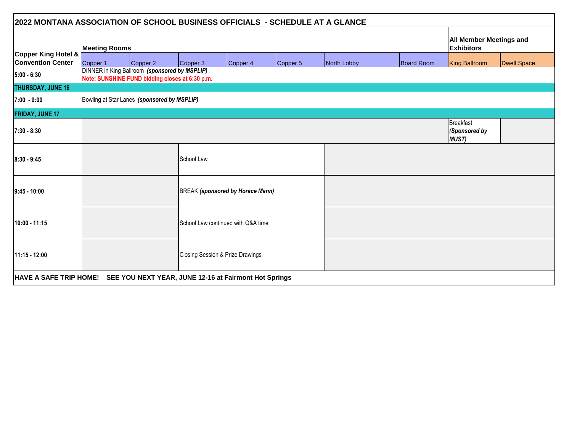| 2022 MONTANA ASSOCIATION OF SCHOOL BUSINESS OFFICIALS - SCHEDULE AT A GLANCE |                      |                                                                                                  |                                |                                    |          |             |                   |                                           |                    |  |  |
|------------------------------------------------------------------------------|----------------------|--------------------------------------------------------------------------------------------------|--------------------------------|------------------------------------|----------|-------------|-------------------|-------------------------------------------|--------------------|--|--|
|                                                                              | <b>Meeting Rooms</b> | <b>Exhibitors</b>                                                                                | <b>All Member Meetings and</b> |                                    |          |             |                   |                                           |                    |  |  |
| Copper King Hotel &<br><b>Convention Center</b>                              | Copper 1             | Copper 2                                                                                         | Copper 3                       | Copper 4                           | Copper 5 | North Lobby | <b>Board Room</b> | <b>King Ballroom</b>                      | <b>Dwell Space</b> |  |  |
| $5:00 - 6:30$                                                                |                      | DINNER in King Ballroom (sponsored by MSPLIP)<br>Note: SUNSHINE FUND bidding closes at 6:30 p.m. |                                |                                    |          |             |                   |                                           |                    |  |  |
| THURSDAY, JUNE 16                                                            |                      |                                                                                                  |                                |                                    |          |             |                   |                                           |                    |  |  |
| $7:00 - 9:00$                                                                |                      | Bowling at Star Lanes (sponsored by MSPLIP)                                                      |                                |                                    |          |             |                   |                                           |                    |  |  |
| <b>FRIDAY, JUNE 17</b>                                                       |                      |                                                                                                  |                                |                                    |          |             |                   |                                           |                    |  |  |
| $7:30 - 8:30$                                                                |                      |                                                                                                  |                                |                                    |          |             |                   | Breakfast<br>Sponsored by<br><b>MUST)</b> |                    |  |  |
| $8:30 - 9:45$                                                                |                      |                                                                                                  | School Law                     |                                    |          |             |                   |                                           |                    |  |  |
| $9:45 - 10:00$                                                               |                      |                                                                                                  |                                | BREAK (sponsored by Horace Mann)   |          |             |                   |                                           |                    |  |  |
| 10:00 - 11:15                                                                |                      |                                                                                                  |                                | School Law continued with Q&A time |          |             |                   |                                           |                    |  |  |
| 11:15 - 12:00                                                                |                      |                                                                                                  |                                | Closing Session & Prize Drawings   |          |             |                   |                                           |                    |  |  |
| HAVE A SAFE TRIP HOME! SEE YOU NEXT YEAR, JUNE 12-16 at Fairmont Hot Springs |                      |                                                                                                  |                                |                                    |          |             |                   |                                           |                    |  |  |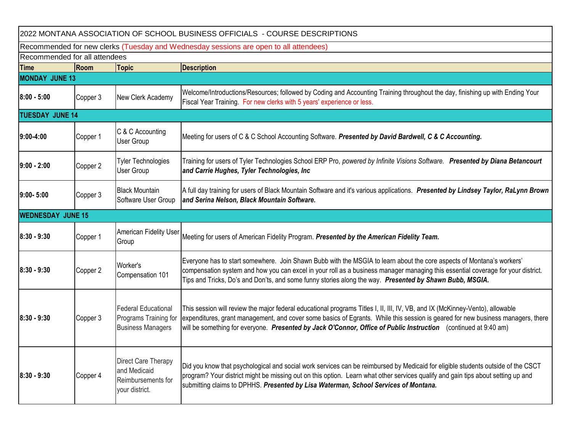| 2022 MONTANA ASSOCIATION OF SCHOOL BUSINESS OFFICIALS - COURSE DESCRIPTIONS |                                                                                       |                                                                                 |                                                                                                                                                                                                                                                                                                                                                                                     |  |  |  |  |  |
|-----------------------------------------------------------------------------|---------------------------------------------------------------------------------------|---------------------------------------------------------------------------------|-------------------------------------------------------------------------------------------------------------------------------------------------------------------------------------------------------------------------------------------------------------------------------------------------------------------------------------------------------------------------------------|--|--|--|--|--|
|                                                                             | Recommended for new clerks (Tuesday and Wednesday sessions are open to all attendees) |                                                                                 |                                                                                                                                                                                                                                                                                                                                                                                     |  |  |  |  |  |
|                                                                             | Recommended for all attendees                                                         |                                                                                 |                                                                                                                                                                                                                                                                                                                                                                                     |  |  |  |  |  |
| <b>Time</b>                                                                 | Room                                                                                  | <b>Topic</b>                                                                    | <b>Description</b>                                                                                                                                                                                                                                                                                                                                                                  |  |  |  |  |  |
| <b>MONDAY JUNE 13</b>                                                       |                                                                                       |                                                                                 |                                                                                                                                                                                                                                                                                                                                                                                     |  |  |  |  |  |
| $8:00 - 5:00$                                                               | Copper 3                                                                              | New Clerk Academy                                                               | Welcome/Introductions/Resources; followed by Coding and Accounting Training throughout the day, finishing up with Ending Your<br>Fiscal Year Training. For new clerks with 5 years' experience or less.                                                                                                                                                                             |  |  |  |  |  |
| <b>TUESDAY JUNE 14</b>                                                      |                                                                                       |                                                                                 |                                                                                                                                                                                                                                                                                                                                                                                     |  |  |  |  |  |
| 9:00-4:00                                                                   | Copper 1                                                                              | C & C Accounting<br>User Group                                                  | Meeting for users of C & C School Accounting Software. Presented by David Bardwell, C & C Accounting.                                                                                                                                                                                                                                                                               |  |  |  |  |  |
| $9:00 - 2:00$                                                               | Copper 2                                                                              | <b>Tyler Technologies</b><br><b>User Group</b>                                  | Training for users of Tyler Technologies School ERP Pro, powered by Infinite Visions Software. Presented by Diana Betancourt<br>and Carrie Hughes, Tyler Technologies, Inc                                                                                                                                                                                                          |  |  |  |  |  |
| $9:00 - 5:00$                                                               | Copper 3                                                                              | <b>Black Mountain</b><br>Software User Group                                    | A full day training for users of Black Mountain Software and it's various applications. Presented by Lindsey Taylor, RaLynn Brown<br>and Serina Nelson, Black Mountain Software.                                                                                                                                                                                                    |  |  |  |  |  |
| <b>WEDNESDAY JUNE 15</b>                                                    |                                                                                       |                                                                                 |                                                                                                                                                                                                                                                                                                                                                                                     |  |  |  |  |  |
| $8:30 - 9:30$                                                               | Copper 1                                                                              | American Fidelity User<br>Group                                                 | Meeting for users of American Fidelity Program. Presented by the American Fidelity Team.                                                                                                                                                                                                                                                                                            |  |  |  |  |  |
| $8:30 - 9:30$                                                               | Copper 2                                                                              | Worker's<br>Compensation 101                                                    | Everyone has to start somewhere. Join Shawn Bubb with the MSGIA to learn about the core aspects of Montana's workers'<br>compensation system and how you can excel in your roll as a business manager managing this essential coverage for your district.<br>Tips and Tricks, Do's and Don'ts, and some funny stories along the way. Presented by Shawn Bubb, MSGIA.                |  |  |  |  |  |
| $8:30 - 9:30$                                                               | Copper 3                                                                              | <b>Federal Educational</b><br>Programs Training for<br><b>Business Managers</b> | This session will review the major federal educational programs Titles I, II, III, IV, VB, and IX (McKinney-Vento), allowable<br>expenditures, grant management, and cover some basics of Egrants. While this session is geared for new business managers, there<br>will be something for everyone. Presented by Jack O'Connor, Office of Public Instruction (continued at 9:40 am) |  |  |  |  |  |
| $8:30 - 9:30$                                                               | Copper 4                                                                              | Direct Care Therapy<br>and Medicaid<br>Reimbursements for<br>your district.     | Did you know that psychological and social work services can be reimbursed by Medicaid for eligible students outside of the CSCT<br>program? Your district might be missing out on this option. Learn what other services qualify and gain tips about setting up and<br>submitting claims to DPHHS. Presented by Lisa Waterman, School Services of Montana.                         |  |  |  |  |  |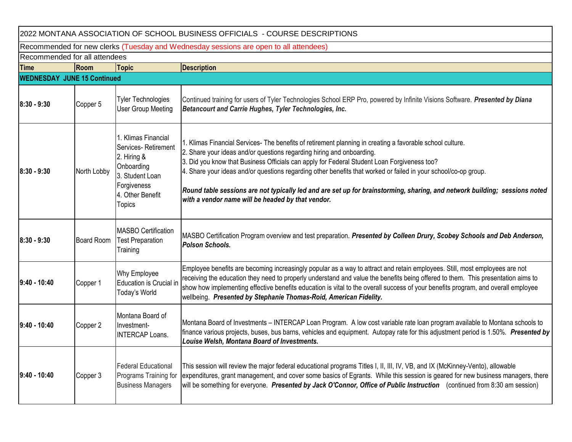| 2022 MONTANA ASSOCIATION OF SCHOOL BUSINESS OFFICIALS - COURSE DESCRIPTIONS |                                                                                       |                                                                                                                                         |                                                                                                                                                                                                                                                                                                                                                                                                                                                                                                                                                                                         |  |  |  |  |  |
|-----------------------------------------------------------------------------|---------------------------------------------------------------------------------------|-----------------------------------------------------------------------------------------------------------------------------------------|-----------------------------------------------------------------------------------------------------------------------------------------------------------------------------------------------------------------------------------------------------------------------------------------------------------------------------------------------------------------------------------------------------------------------------------------------------------------------------------------------------------------------------------------------------------------------------------------|--|--|--|--|--|
|                                                                             | Recommended for new clerks (Tuesday and Wednesday sessions are open to all attendees) |                                                                                                                                         |                                                                                                                                                                                                                                                                                                                                                                                                                                                                                                                                                                                         |  |  |  |  |  |
|                                                                             | Recommended for all attendees                                                         |                                                                                                                                         |                                                                                                                                                                                                                                                                                                                                                                                                                                                                                                                                                                                         |  |  |  |  |  |
| <b>Time</b>                                                                 | Room                                                                                  | <b>Topic</b>                                                                                                                            | <b>Description</b>                                                                                                                                                                                                                                                                                                                                                                                                                                                                                                                                                                      |  |  |  |  |  |
| <b>WEDNESDAY JUNE 15 Continued</b>                                          |                                                                                       |                                                                                                                                         |                                                                                                                                                                                                                                                                                                                                                                                                                                                                                                                                                                                         |  |  |  |  |  |
| $8:30 - 9:30$                                                               | Copper 5                                                                              | <b>Tyler Technologies</b><br>User Group Meeting                                                                                         | Continued training for users of Tyler Technologies School ERP Pro, powered by Infinite Visions Software. Presented by Diana<br>Betancourt and Carrie Hughes, Tyler Technologies, Inc.                                                                                                                                                                                                                                                                                                                                                                                                   |  |  |  |  |  |
| $8:30 - 9:30$                                                               | North Lobby                                                                           | 1. Klimas Financial<br>Services-Retirement<br>2. Hiring &<br>Onboarding<br>3. Student Loan<br>Forgiveness<br>4. Other Benefit<br>Topics | 1. Klimas Financial Services- The benefits of retirement planning in creating a favorable school culture.<br>2. Share your ideas and/or questions regarding hiring and onboarding.<br>3. Did you know that Business Officials can apply for Federal Student Loan Forgiveness too?<br>4. Share your ideas and/or questions regarding other benefits that worked or failed in your school/co-op group.<br>Round table sessions are not typically led and are set up for brainstorming, sharing, and network building; sessions noted<br>with a vendor name will be headed by that vendor. |  |  |  |  |  |
| $8:30 - 9:30$                                                               | <b>Board Room</b>                                                                     | <b>MASBO Certification</b><br><b>Test Preparation</b><br>Training                                                                       | MASBO Certification Program overview and test preparation. Presented by Colleen Drury, Scobey Schools and Deb Anderson,<br>Polson Schools.                                                                                                                                                                                                                                                                                                                                                                                                                                              |  |  |  |  |  |
| $9:40 - 10:40$                                                              | Copper 1                                                                              | Why Employee<br>Education is Crucial ir<br>Today's World                                                                                | Employee benefits are becoming increasingly popular as a way to attract and retain employees. Still, most employees are not<br>receiving the education they need to properly understand and value the benefits being offered to them. This presentation aims to<br>show how implementing effective benefits education is vital to the overall success of your benefits program, and overall employee<br>wellbeing. Presented by Stephanie Thomas-Roid, American Fidelity.                                                                                                               |  |  |  |  |  |
| 19:40 - 10:40                                                               | Copper 2                                                                              | Montana Board of<br>Investment-<br><b>INTERCAP Loans.</b>                                                                               | Montana Board of Investments – INTERCAP Loan Program. A low cost variable rate loan program available to Montana schools to<br>finance various projects, buses, bus barns, vehicles and equipment. Autopay rate for this adjustment period is 1.50%. Presented by<br>Louise Welsh, Montana Board of Investments.                                                                                                                                                                                                                                                                        |  |  |  |  |  |
| 9:40 - 10:40                                                                | Copper 3                                                                              | <b>Federal Educational</b><br>Programs Training for<br><b>Business Managers</b>                                                         | This session will review the major federal educational programs Titles I, II, III, IV, VB, and IX (McKinney-Vento), allowable<br>expenditures, grant management, and cover some basics of Egrants. While this session is geared for new business managers, there<br>will be something for everyone. Presented by Jack O'Connor, Office of Public Instruction (continued from 8:30 am session)                                                                                                                                                                                           |  |  |  |  |  |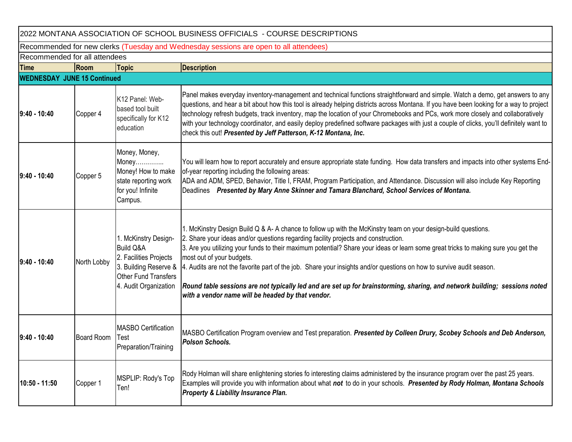| 2022 MONTANA ASSOCIATION OF SCHOOL BUSINESS OFFICIALS - COURSE DESCRIPTIONS           |                   |                                                                                                                                                  |                                                                                                                                                                                                                                                                                                                                                                                                                                                                                                                                                                                                                                                                                    |  |  |  |  |
|---------------------------------------------------------------------------------------|-------------------|--------------------------------------------------------------------------------------------------------------------------------------------------|------------------------------------------------------------------------------------------------------------------------------------------------------------------------------------------------------------------------------------------------------------------------------------------------------------------------------------------------------------------------------------------------------------------------------------------------------------------------------------------------------------------------------------------------------------------------------------------------------------------------------------------------------------------------------------|--|--|--|--|
| Recommended for new clerks (Tuesday and Wednesday sessions are open to all attendees) |                   |                                                                                                                                                  |                                                                                                                                                                                                                                                                                                                                                                                                                                                                                                                                                                                                                                                                                    |  |  |  |  |
| Recommended for all attendees                                                         |                   |                                                                                                                                                  |                                                                                                                                                                                                                                                                                                                                                                                                                                                                                                                                                                                                                                                                                    |  |  |  |  |
| <b>Time</b>                                                                           | Room              | <b>Topic</b>                                                                                                                                     | <b>Description</b>                                                                                                                                                                                                                                                                                                                                                                                                                                                                                                                                                                                                                                                                 |  |  |  |  |
| <b>WEDNESDAY JUNE 15 Continued</b>                                                    |                   |                                                                                                                                                  |                                                                                                                                                                                                                                                                                                                                                                                                                                                                                                                                                                                                                                                                                    |  |  |  |  |
| 9:40 - 10:40                                                                          | Copper 4          | K12 Panel: Web-<br>based tool built<br>specifically for K12<br>education                                                                         | Panel makes everyday inventory-management and technical functions straightforward and simple. Watch a demo, get answers to any<br>questions, and hear a bit about how this tool is already helping districts across Montana. If you have been looking for a way to project<br>technology refresh budgets, track inventory, map the location of your Chromebooks and PCs, work more closely and collaboratively<br>with your technology coordinator, and easily deploy predefined software packages with just a couple of clicks, you'll definitely want to<br>check this out! Presented by Jeff Patterson, K-12 Montana, Inc.                                                      |  |  |  |  |
| 9:40 - 10:40                                                                          | Copper 5          | Money, Money,<br>Money<br>Money! How to make<br>state reporting work<br>for you! Infinite<br>Campus.                                             | You will learn how to report accurately and ensure appropriate state funding. How data transfers and impacts into other systems End-<br>of-year reporting including the following areas:<br>ADA and ADM, SPED, Behavior, Title I, FRAM, Program Participation, and Attendance. Discussion will also include Key Reporting<br>Deadlines Presented by Mary Anne Skinner and Tamara Blanchard, School Services of Montana.                                                                                                                                                                                                                                                            |  |  |  |  |
| 9:40 - 10:40                                                                          | North Lobby       | 1. McKinstry Design-<br><b>Build Q&amp;A</b><br>2. Facilities Projects<br>3. Building Reserve &<br>Other Fund Transfers<br>4. Audit Organization | 1. McKinstry Design Build Q & A- A chance to follow up with the McKinstry team on your design-build questions.<br>2. Share your ideas and/or questions regarding facility projects and construction.<br>3. Are you utilizing your funds to their maximum potential? Share your ideas or learn some great tricks to making sure you get the<br>most out of your budgets.<br>4. Audits are not the favorite part of the job. Share your insights and/or questions on how to survive audit season.<br>Round table sessions are not typically led and are set up for brainstorming, sharing, and network building; sessions noted<br>with a vendor name will be headed by that vendor. |  |  |  |  |
| 9:40 - 10:40                                                                          | <b>Board Room</b> | <b>MASBO Certification</b><br>Test<br>Preparation/Training                                                                                       | MASBO Certification Program overview and Test preparation. Presented by Colleen Drury, Scobey Schools and Deb Anderson,<br><b>Polson Schools.</b>                                                                                                                                                                                                                                                                                                                                                                                                                                                                                                                                  |  |  |  |  |
| 10:50 - 11:50                                                                         | Copper 1          | MSPLIP: Rody's Top<br>Ten!                                                                                                                       | Rody Holman will share enlightening stories fo interesting claims administered by the insurance program over the past 25 years.<br>Examples will provide you with information about what not to do in your schools. Presented by Rody Holman, Montana Schools<br><b>Property &amp; Liability Insurance Plan.</b>                                                                                                                                                                                                                                                                                                                                                                   |  |  |  |  |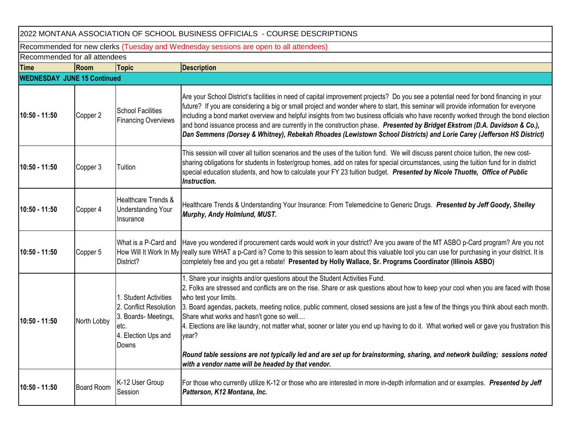| 2022 MONTANA ASSOCIATION OF SCHOOL BUSINESS OFFICIALS - COURSE DESCRIPTIONS |                                                                                       |                                                                                                                 |                                                                                                                                                                                                                                                                                                                                                                                                                                                                                                                                                                                                                                                                                                                                                                          |  |  |  |  |  |  |
|-----------------------------------------------------------------------------|---------------------------------------------------------------------------------------|-----------------------------------------------------------------------------------------------------------------|--------------------------------------------------------------------------------------------------------------------------------------------------------------------------------------------------------------------------------------------------------------------------------------------------------------------------------------------------------------------------------------------------------------------------------------------------------------------------------------------------------------------------------------------------------------------------------------------------------------------------------------------------------------------------------------------------------------------------------------------------------------------------|--|--|--|--|--|--|
|                                                                             | Recommended for new clerks (Tuesday and Wednesday sessions are open to all attendees) |                                                                                                                 |                                                                                                                                                                                                                                                                                                                                                                                                                                                                                                                                                                                                                                                                                                                                                                          |  |  |  |  |  |  |
|                                                                             | Recommended for all attendees                                                         |                                                                                                                 |                                                                                                                                                                                                                                                                                                                                                                                                                                                                                                                                                                                                                                                                                                                                                                          |  |  |  |  |  |  |
| <b>Time</b>                                                                 | Room                                                                                  | <b>Topic</b>                                                                                                    | <b>Description</b>                                                                                                                                                                                                                                                                                                                                                                                                                                                                                                                                                                                                                                                                                                                                                       |  |  |  |  |  |  |
| <b>WEDNESDAY JUNE 15 Continued</b>                                          |                                                                                       |                                                                                                                 |                                                                                                                                                                                                                                                                                                                                                                                                                                                                                                                                                                                                                                                                                                                                                                          |  |  |  |  |  |  |
| 10:50 - 11:50                                                               | Copper 2                                                                              | <b>School Facilities</b><br><b>Financing Overviews</b>                                                          | Are your School District's facilities in need of capital improvement projects? Do you see a potential need for bond financing in your<br>future? If you are considering a big or small project and wonder where to start, this seminar will provide information for everyone<br>including a bond market overview and helpful insights from two business officials who have recently worked through the bond election<br>and bond issuance process and are currently in the construction phase. Presented by Bridget Ekstrom (D.A. Davidson & Co.),<br>Dan Semmens (Dorsey & Whitney), Rebekah Rhoades (Lewistown School Districts) and Lorie Carey (Jefferson HS District)                                                                                               |  |  |  |  |  |  |
| 10:50 - 11:50                                                               | Copper 3                                                                              | Tuition                                                                                                         | This session will cover all tuition scenarios and the uses of the tuition fund. We will discuss parent choice tuition, the new cost-<br>sharing obligations for students in foster/group homes, add on rates for special circumstances, using the tuition fund for in district<br>special education students, and how to calculate your FY 23 tuition budget. Presented by Nicole Thuotte, Office of Public<br>Instruction.                                                                                                                                                                                                                                                                                                                                              |  |  |  |  |  |  |
| 10:50 - 11:50                                                               | Copper 4                                                                              | Healthcare Trends &<br><b>Understanding Your</b><br>Insurance                                                   | Healthcare Trends & Understanding Your Insurance: From Telemedicine to Generic Drugs. Presented by Jeff Goody, Shelley<br>Murphy, Andy Holmlund, MUST.                                                                                                                                                                                                                                                                                                                                                                                                                                                                                                                                                                                                                   |  |  |  |  |  |  |
| 10:50 - 11:50                                                               | Copper 5                                                                              | What is a P-Card and<br>District?                                                                               | Have you wondered if procurement cards would work in your district? Are you aware of the MT ASBO p-Card program? Are you not<br>How Will It Work In My really sure WHAT a p-Card is? Come to this session to learn about this valuable tool you can use for purchasing in your district. It is<br>completely free and you get a rebate! Presented by Holly Wallace, Sr. Programs Coordinator (Illinois ASBO)                                                                                                                                                                                                                                                                                                                                                             |  |  |  |  |  |  |
| 10:50 - 11:50                                                               | North Lobby                                                                           | 1. Student Activities<br>2. Conflict Resolution<br>3. Boards- Meetings,<br>etc.<br>4. Election Ups and<br>Downs | 1. Share your insights and/or questions about the Student Activities Fund.<br>2. Folks are stressed and conflicts are on the rise. Share or ask questions about how to keep your cool when you are faced with those<br>who test your limits.<br>3. Board agendas, packets, meeting notice, public comment, closed sessions are just a few of the things you think about each month.<br>Share what works and hasn't gone so well<br>4. Elections are like laundry, not matter what, sooner or later you end up having to do it. What worked well or gave you frustration this<br>year?<br>Round table sessions are not typically led and are set up for brainstorming, sharing, and network building; sessions noted<br>with a vendor name will be headed by that vendor. |  |  |  |  |  |  |
| 10:50 - 11:50                                                               | <b>Board Room</b>                                                                     | K-12 User Group<br>Session                                                                                      | For those who currently utilize K-12 or those who are interested in more in-depth information and or examples. Presented by Jeff<br>Patterson, K12 Montana, Inc.                                                                                                                                                                                                                                                                                                                                                                                                                                                                                                                                                                                                         |  |  |  |  |  |  |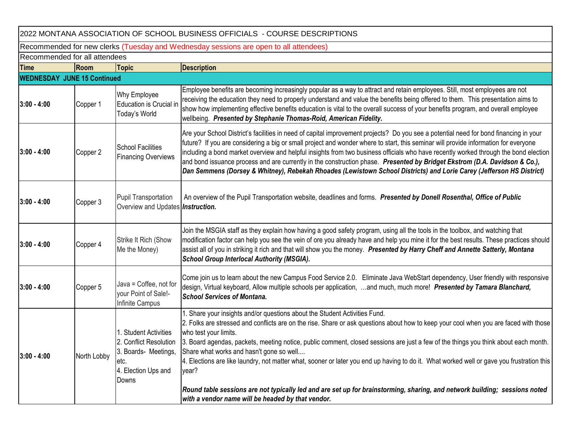2022 MONTANA ASSOCIATION OF SCHOOL BUSINESS OFFICIALS - COURSE DESCRIPTIONS

Recommended for new clerks (Tuesday and Wednesday sessions are open to all attendees)

Recommended for all attendees

| <b>Time</b>                        | Room        | <b>Topic</b>                                                                                                    | <b>Description</b>                                                                                                                                                                                                                                                                                                                                                                                                                                                                                                                                                                                                                                                                                                                                                       |
|------------------------------------|-------------|-----------------------------------------------------------------------------------------------------------------|--------------------------------------------------------------------------------------------------------------------------------------------------------------------------------------------------------------------------------------------------------------------------------------------------------------------------------------------------------------------------------------------------------------------------------------------------------------------------------------------------------------------------------------------------------------------------------------------------------------------------------------------------------------------------------------------------------------------------------------------------------------------------|
| <b>WEDNESDAY JUNE 15 Continued</b> |             |                                                                                                                 |                                                                                                                                                                                                                                                                                                                                                                                                                                                                                                                                                                                                                                                                                                                                                                          |
| $3:00 - 4:00$                      | Copper 1    | Why Employee<br>Education is Crucial ir<br>Today's World                                                        | Employee benefits are becoming increasingly popular as a way to attract and retain employees. Still, most employees are not<br>receiving the education they need to properly understand and value the benefits being offered to them. This presentation aims to<br>show how implementing effective benefits education is vital to the overall success of your benefits program, and overall employee<br>wellbeing. Presented by Stephanie Thomas-Roid, American Fidelity.                                                                                                                                                                                                                                                                                                |
| $3:00 - 4:00$                      | Copper 2    | <b>School Facilities</b><br><b>Financing Overviews</b>                                                          | Are your School District's facilities in need of capital improvement projects? Do you see a potential need for bond financing in your<br>future? If you are considering a big or small project and wonder where to start, this seminar will provide information for everyone<br>including a bond market overview and helpful insights from two business officials who have recently worked through the bond election<br>and bond issuance process and are currently in the construction phase. Presented by Bridget Ekstrom (D.A. Davidson & Co.),<br>Dan Semmens (Dorsey & Whitney), Rebekah Rhoades (Lewistown School Districts) and Lorie Carey (Jefferson HS District)                                                                                               |
| $3:00 - 4:00$                      | Copper 3    | <b>Pupil Transportation</b><br>Overview and Updates <b>Instruction.</b>                                         | An overview of the Pupil Transportation website, deadlines and forms. Presented by Donell Rosenthal, Office of Public                                                                                                                                                                                                                                                                                                                                                                                                                                                                                                                                                                                                                                                    |
| $3:00 - 4:00$                      | Copper 4    | Strike It Rich (Show<br>Me the Money)                                                                           | Join the MSGIA staff as they explain how having a good safety program, using all the tools in the toolbox, and watching that<br>modification factor can help you see the vein of ore you already have and help you mine it for the best results. These practices should<br>assist all of you in striking it rich and that will show you the money. Presented by Harry Cheff and Annette Satterly, Montana<br><b>School Group Interlocal Authority (MSGIA).</b>                                                                                                                                                                                                                                                                                                           |
| $3:00 - 4:00$                      | Copper 5    | Java = Coffee, not for<br>your Point of Sale!-<br>Infinite Campus                                               | Come join us to learn about the new Campus Food Service 2.0. Eliminate Java WebStart dependency, User friendly with responsive<br>design, Virtual keyboard, Allow multiple schools per application, and much, much more! Presented by Tamara Blanchard,<br><b>School Services of Montana.</b>                                                                                                                                                                                                                                                                                                                                                                                                                                                                            |
| $3:00 - 4:00$                      | North Lobby | 1. Student Activities<br>2. Conflict Resolution<br>3. Boards- Meetings,<br>etc.<br>4. Election Ups and<br>Downs | 1. Share your insights and/or questions about the Student Activities Fund.<br>2. Folks are stressed and conflicts are on the rise. Share or ask questions about how to keep your cool when you are faced with those<br>who test your limits.<br>3. Board agendas, packets, meeting notice, public comment, closed sessions are just a few of the things you think about each month.<br>Share what works and hasn't gone so well<br>4. Elections are like laundry, not matter what, sooner or later you end up having to do it. What worked well or gave you frustration this<br>year?<br>Round table sessions are not typically led and are set up for brainstorming, sharing, and network building; sessions noted<br>with a vendor name will be headed by that vendor. |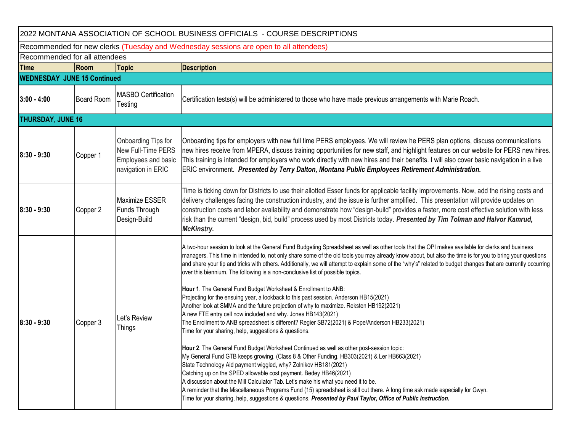| 2022 MONTANA ASSOCIATION OF SCHOOL BUSINESS OFFICIALS - COURSE DESCRIPTIONS |                               |                                                                                        |                                                                                                                                                                                                                                                                                                                                                                                                                                                                                                                                                                                                                                                                                                                                                                                                                                                                                                                                                                                                                                                                                                                                                                                                                                                                                                                                                                                                                                                                                                                                                                                                                                                                                                                            |  |  |  |  |
|-----------------------------------------------------------------------------|-------------------------------|----------------------------------------------------------------------------------------|----------------------------------------------------------------------------------------------------------------------------------------------------------------------------------------------------------------------------------------------------------------------------------------------------------------------------------------------------------------------------------------------------------------------------------------------------------------------------------------------------------------------------------------------------------------------------------------------------------------------------------------------------------------------------------------------------------------------------------------------------------------------------------------------------------------------------------------------------------------------------------------------------------------------------------------------------------------------------------------------------------------------------------------------------------------------------------------------------------------------------------------------------------------------------------------------------------------------------------------------------------------------------------------------------------------------------------------------------------------------------------------------------------------------------------------------------------------------------------------------------------------------------------------------------------------------------------------------------------------------------------------------------------------------------------------------------------------------------|--|--|--|--|
|                                                                             |                               |                                                                                        | Recommended for new clerks (Tuesday and Wednesday sessions are open to all attendees)                                                                                                                                                                                                                                                                                                                                                                                                                                                                                                                                                                                                                                                                                                                                                                                                                                                                                                                                                                                                                                                                                                                                                                                                                                                                                                                                                                                                                                                                                                                                                                                                                                      |  |  |  |  |
|                                                                             | Recommended for all attendees |                                                                                        |                                                                                                                                                                                                                                                                                                                                                                                                                                                                                                                                                                                                                                                                                                                                                                                                                                                                                                                                                                                                                                                                                                                                                                                                                                                                                                                                                                                                                                                                                                                                                                                                                                                                                                                            |  |  |  |  |
| <b>Time</b>                                                                 | Room                          | <b>Topic</b>                                                                           | <b>Description</b>                                                                                                                                                                                                                                                                                                                                                                                                                                                                                                                                                                                                                                                                                                                                                                                                                                                                                                                                                                                                                                                                                                                                                                                                                                                                                                                                                                                                                                                                                                                                                                                                                                                                                                         |  |  |  |  |
| <b>WEDNESDAY JUNE 15 Continued</b>                                          |                               |                                                                                        |                                                                                                                                                                                                                                                                                                                                                                                                                                                                                                                                                                                                                                                                                                                                                                                                                                                                                                                                                                                                                                                                                                                                                                                                                                                                                                                                                                                                                                                                                                                                                                                                                                                                                                                            |  |  |  |  |
| $3:00 - 4:00$                                                               | <b>Board Room</b>             | <b>MASBO Certification</b><br>Testing                                                  | Certification tests(s) will be administered to those who have made previous arrangements with Marie Roach.                                                                                                                                                                                                                                                                                                                                                                                                                                                                                                                                                                                                                                                                                                                                                                                                                                                                                                                                                                                                                                                                                                                                                                                                                                                                                                                                                                                                                                                                                                                                                                                                                 |  |  |  |  |
| <b>THURSDAY, JUNE 16</b>                                                    |                               |                                                                                        |                                                                                                                                                                                                                                                                                                                                                                                                                                                                                                                                                                                                                                                                                                                                                                                                                                                                                                                                                                                                                                                                                                                                                                                                                                                                                                                                                                                                                                                                                                                                                                                                                                                                                                                            |  |  |  |  |
| $8:30 - 9:30$                                                               | Copper 1                      | Onboarding Tips for<br>New Full-Time PERS<br>Employees and basic<br>navigation in ERIC | Onboarding tips for employers with new full time PERS employees. We will review he PERS plan options, discuss communications<br>new hires receive from MPERA, discuss training opportunities for new staff, and highlight features on our website for PERS new hires.<br>This training is intended for employers who work directly with new hires and their benefits. I will also cover basic navigation in a live<br>ERIC environment. Presented by Terry Dalton, Montana Public Employees Retirement Administration.                                                                                                                                                                                                                                                                                                                                                                                                                                                                                                                                                                                                                                                                                                                                                                                                                                                                                                                                                                                                                                                                                                                                                                                                     |  |  |  |  |
| $8:30 - 9:30$                                                               | Copper 2                      | <b>Maximize ESSER</b><br>Funds Through<br>Design-Build                                 | Time is ticking down for Districts to use their allotted Esser funds for applicable facility improvements. Now, add the rising costs and<br>delivery challenges facing the construction industry, and the issue is further amplified. This presentation will provide updates on<br>construction costs and labor availability and demonstrate how "design-build" provides a faster, more cost effective solution with less<br>risk than the current "design, bid, build" process used by most Districts today. Presented by Tim Tolman and Halvor Kamrud,<br><b>McKinstry.</b>                                                                                                                                                                                                                                                                                                                                                                                                                                                                                                                                                                                                                                                                                                                                                                                                                                                                                                                                                                                                                                                                                                                                              |  |  |  |  |
| $8:30 - 9:30$                                                               | Copper 3                      | Let's Review<br>Things                                                                 | A two-hour session to look at the General Fund Budgeting Spreadsheet as well as other tools that the OPI makes available for clerks and business<br>managers. This time in intended to, not only share some of the old tools you may already know about, but also the time is for you to bring your questions<br>and share your tip and tricks with others. Additionally, we will attempt to explain some of the "why's" related to budget changes that are currently occurring<br>over this biennium. The following is a non-conclusive list of possible topics.<br>Hour 1. The General Fund Budget Worksheet & Enrollment to ANB:<br>Projecting for the ensuing year, a lookback to this past session. Anderson HB15(2021)<br>Another look at SMMA and the future projection of why to maximize. Reksten HB192(2021)<br>A new FTE entry cell now included and why. Jones HB143(2021)<br>The Enrollment to ANB spreadsheet is different? Regier SB72(2021) & Pope/Anderson HB233(2021)<br>Time for your sharing, help, suggestions & questions.<br>Hour 2. The General Fund Budget Worksheet Continued as well as other post-session topic:<br>My General Fund GTB keeps growing. (Class 8 & Other Funding. HB303(2021) & Ler HB663(2021)<br>State Technology Aid payment wiggled, why? Zolnikov HB181(2021)<br>Catching up on the SPED allowable cost payment. Bedey HB46(2021)<br>A discussion about the Mill Calculator Tab. Let's make his what you need it to be.<br>A reminder that the Miscellaneous Programs Fund (15) spreadsheet is still out there. A long time ask made especially for Gwyn.<br>Time for your sharing, help, suggestions & questions. Presented by Paul Taylor, Office of Public Instruction. |  |  |  |  |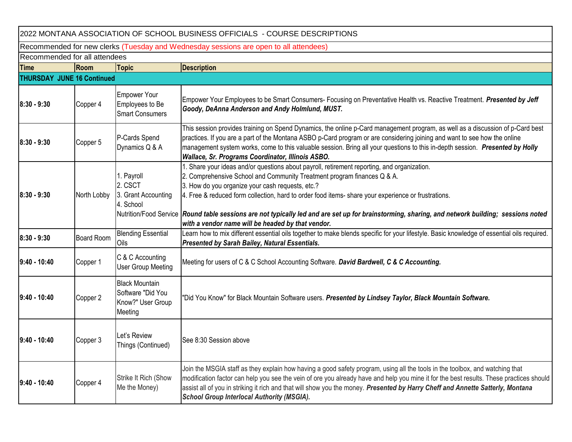| 2022 MONTANA ASSOCIATION OF SCHOOL BUSINESS OFFICIALS - COURSE DESCRIPTIONS |                                                                                       |                                                                            |                                                                                                                                                                                                                                                                                                                                                                                                                                                                                                                                             |  |  |  |  |
|-----------------------------------------------------------------------------|---------------------------------------------------------------------------------------|----------------------------------------------------------------------------|---------------------------------------------------------------------------------------------------------------------------------------------------------------------------------------------------------------------------------------------------------------------------------------------------------------------------------------------------------------------------------------------------------------------------------------------------------------------------------------------------------------------------------------------|--|--|--|--|
|                                                                             | Recommended for new clerks (Tuesday and Wednesday sessions are open to all attendees) |                                                                            |                                                                                                                                                                                                                                                                                                                                                                                                                                                                                                                                             |  |  |  |  |
|                                                                             | Recommended for all attendees                                                         |                                                                            |                                                                                                                                                                                                                                                                                                                                                                                                                                                                                                                                             |  |  |  |  |
| Time                                                                        | Room                                                                                  | <b>Topic</b>                                                               | <b>Description</b>                                                                                                                                                                                                                                                                                                                                                                                                                                                                                                                          |  |  |  |  |
| <b>THURSDAY JUNE 16 Continued</b>                                           |                                                                                       |                                                                            |                                                                                                                                                                                                                                                                                                                                                                                                                                                                                                                                             |  |  |  |  |
| $8:30 - 9:30$                                                               | Copper 4                                                                              | <b>Empower Your</b><br>Employees to Be<br><b>Smart Consumers</b>           | Empower Your Employees to be Smart Consumers- Focusing on Preventative Health vs. Reactive Treatment. Presented by Jeff<br>Goody, DeAnna Anderson and Andy Holmlund, MUST.                                                                                                                                                                                                                                                                                                                                                                  |  |  |  |  |
| $8:30 - 9:30$                                                               | Copper 5                                                                              | P-Cards Spend<br>Dynamics Q & A                                            | This session provides training on Spend Dynamics, the online p-Card management program, as well as a discussion of p-Card best<br>practices. If you are a part of the Montana ASBO p-Card program or are considering joining and want to see how the online<br>management system works, come to this valuable session. Bring all your questions to this in-depth session. Presented by Holly<br>Wallace, Sr. Programs Coordinator, Illinois ASBO.                                                                                           |  |  |  |  |
| $8:30 - 9:30$                                                               | North Lobby                                                                           | 1. Payroll<br>2. CSCT<br>3. Grant Accounting<br>4. School                  | 1. Share your ideas and/or questions about payroll, retirement reporting, and organization.<br>2. Comprehensive School and Community Treatment program finances Q & A.<br>3. How do you organize your cash requests, etc.?<br>4. Free & reduced form collection, hard to order food items- share your experience or frustrations.<br>Nutrition/Food Service Round table sessions are not typically led and are set up for brainstorming, sharing, and network building; sessions noted<br>with a vendor name will be headed by that vendor. |  |  |  |  |
| 8:30 - 9:30                                                                 | <b>Board Room</b>                                                                     | <b>Blending Essential</b><br>Oils                                          | Learn how to mix different essential oils together to make blends specific for your lifestyle. Basic knowledge of essential oils required.<br>Presented by Sarah Bailey, Natural Essentials.                                                                                                                                                                                                                                                                                                                                                |  |  |  |  |
| $9:40 - 10:40$                                                              | Copper 1                                                                              | C & C Accounting<br><b>User Group Meeting</b>                              | Meeting for users of C & C School Accounting Software. David Bardwell, C & C Accounting.                                                                                                                                                                                                                                                                                                                                                                                                                                                    |  |  |  |  |
| 9:40 - 10:40                                                                | Copper 2                                                                              | <b>Black Mountain</b><br>Software "Did You<br>Know?" User Group<br>Meeting | "Did You Know" for Black Mountain Software users. Presented by Lindsey Taylor, Black Mountain Software.                                                                                                                                                                                                                                                                                                                                                                                                                                     |  |  |  |  |
| $9:40 - 10:40$                                                              | Copper 3                                                                              | Let's Review<br>Things (Continued)                                         | See 8:30 Session above                                                                                                                                                                                                                                                                                                                                                                                                                                                                                                                      |  |  |  |  |
| 9:40 - 10:40                                                                | Copper 4                                                                              | Strike It Rich (Show<br>Me the Money)                                      | Join the MSGIA staff as they explain how having a good safety program, using all the tools in the toolbox, and watching that<br>modification factor can help you see the vein of ore you already have and help you mine it for the best results. These practices should<br>assist all of you in striking it rich and that will show you the money. Presented by Harry Cheff and Annette Satterly, Montana<br><b>School Group Interlocal Authority (MSGIA).</b>                                                                              |  |  |  |  |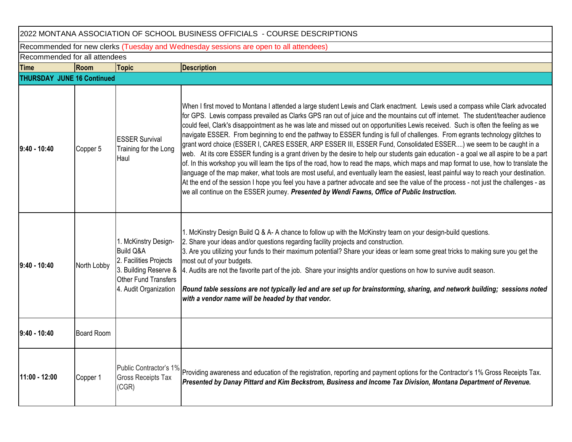| 2022 MONTANA ASSOCIATION OF SCHOOL BUSINESS OFFICIALS - COURSE DESCRIPTIONS           |                   |                                                                                                                                                  |                                                                                                                                                                                                                                                                                                                                                                                                                                                                                                                                                                                                                                                                                                                                                                                                                                                                                                                                                                                                                                                                                                                                                                                                                                                                                                                                      |  |  |  |  |  |
|---------------------------------------------------------------------------------------|-------------------|--------------------------------------------------------------------------------------------------------------------------------------------------|--------------------------------------------------------------------------------------------------------------------------------------------------------------------------------------------------------------------------------------------------------------------------------------------------------------------------------------------------------------------------------------------------------------------------------------------------------------------------------------------------------------------------------------------------------------------------------------------------------------------------------------------------------------------------------------------------------------------------------------------------------------------------------------------------------------------------------------------------------------------------------------------------------------------------------------------------------------------------------------------------------------------------------------------------------------------------------------------------------------------------------------------------------------------------------------------------------------------------------------------------------------------------------------------------------------------------------------|--|--|--|--|--|
| Recommended for new clerks (Tuesday and Wednesday sessions are open to all attendees) |                   |                                                                                                                                                  |                                                                                                                                                                                                                                                                                                                                                                                                                                                                                                                                                                                                                                                                                                                                                                                                                                                                                                                                                                                                                                                                                                                                                                                                                                                                                                                                      |  |  |  |  |  |
| Recommended for all attendees                                                         |                   |                                                                                                                                                  |                                                                                                                                                                                                                                                                                                                                                                                                                                                                                                                                                                                                                                                                                                                                                                                                                                                                                                                                                                                                                                                                                                                                                                                                                                                                                                                                      |  |  |  |  |  |
| <b>Time</b>                                                                           | Room              | <b>Topic</b>                                                                                                                                     | <b>Description</b>                                                                                                                                                                                                                                                                                                                                                                                                                                                                                                                                                                                                                                                                                                                                                                                                                                                                                                                                                                                                                                                                                                                                                                                                                                                                                                                   |  |  |  |  |  |
| <b>THURSDAY JUNE 16 Continued</b>                                                     |                   |                                                                                                                                                  |                                                                                                                                                                                                                                                                                                                                                                                                                                                                                                                                                                                                                                                                                                                                                                                                                                                                                                                                                                                                                                                                                                                                                                                                                                                                                                                                      |  |  |  |  |  |
| $9:40 - 10:40$                                                                        | Copper 5          | <b>ESSER Survival</b><br>Training for the Long<br>Haul                                                                                           | When I first moved to Montana I attended a large student Lewis and Clark enactment. Lewis used a compass while Clark advocated<br>for GPS. Lewis compass prevailed as Clarks GPS ran out of juice and the mountains cut off internet. The student/teacher audience<br>could feel, Clark's disappointment as he was late and missed out on opportunities Lewis received. Such is often the feeling as we<br>navigate ESSER. From beginning to end the pathway to ESSER funding is full of challenges. From egrants technology glitches to<br>grant word choice (ESSER I, CARES ESSER, ARP ESSER III, ESSER Fund, Consolidated ESSER) we seem to be caught in a<br>web. At its core ESSER funding is a grant driven by the desire to help our students gain education - a goal we all aspire to be a part<br>of. In this workshop you will learn the tips of the road, how to read the maps, which maps and map format to use, how to translate the<br>language of the map maker, what tools are most useful, and eventually learn the easiest, least painful way to reach your destination.<br>At the end of the session I hope you feel you have a partner advocate and see the value of the process - not just the challenges - as<br>we all continue on the ESSER journey. Presented by Wendi Fawns, Office of Public Instruction. |  |  |  |  |  |
| $9:40 - 10:40$                                                                        | North Lobby       | 1. McKinstry Design-<br><b>Build Q&amp;A</b><br>2. Facilities Projects<br>3. Building Reserve &<br>Other Fund Transfers<br>4. Audit Organization | 1. McKinstry Design Build Q & A- A chance to follow up with the McKinstry team on your design-build questions.<br>2. Share your ideas and/or questions regarding facility projects and construction.<br>3. Are you utilizing your funds to their maximum potential? Share your ideas or learn some great tricks to making sure you get the<br>most out of your budgets.<br>4. Audits are not the favorite part of the job. Share your insights and/or questions on how to survive audit season.<br>Round table sessions are not typically led and are set up for brainstorming, sharing, and network building; sessions noted<br>with a vendor name will be headed by that vendor.                                                                                                                                                                                                                                                                                                                                                                                                                                                                                                                                                                                                                                                   |  |  |  |  |  |
| $9:40 - 10:40$                                                                        | <b>Board Room</b> |                                                                                                                                                  |                                                                                                                                                                                                                                                                                                                                                                                                                                                                                                                                                                                                                                                                                                                                                                                                                                                                                                                                                                                                                                                                                                                                                                                                                                                                                                                                      |  |  |  |  |  |
| 11:00 - 12:00                                                                         | Copper 1          | <b>Gross Receipts Tax</b><br>(CGR)                                                                                                               | Public Contractor's 1% Providing awareness and education of the registration, reporting and payment options for the Contractor's 1% Gross Receipts Tax.<br>Presented by Danay Pittard and Kim Beckstrom, Business and Income Tax Division, Montana Department of Revenue.                                                                                                                                                                                                                                                                                                                                                                                                                                                                                                                                                                                                                                                                                                                                                                                                                                                                                                                                                                                                                                                            |  |  |  |  |  |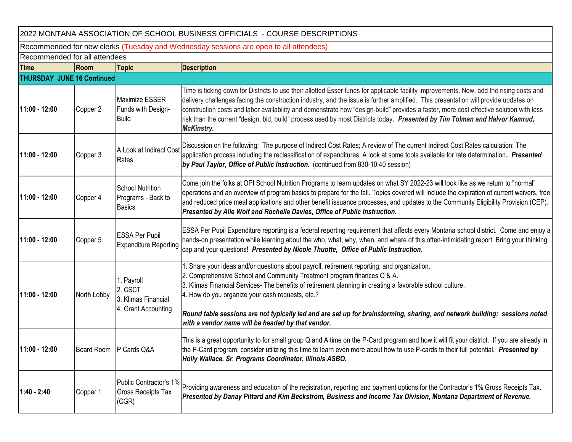2022 MONTANA ASSOCIATION OF SCHOOL BUSINESS OFFICIALS - COURSE DESCRIPTIONS

Recommended for new clerks (Tuesday and Wednesday sessions are open to all attendees)

Recommended for all attendees

| <b>Time</b>   | Room                              | <b>Topic</b>                                                        | <b>Description</b>                                                                                                                                                                                                                                                                                                                                                                                                                                                                                                                                                            |  |  |  |
|---------------|-----------------------------------|---------------------------------------------------------------------|-------------------------------------------------------------------------------------------------------------------------------------------------------------------------------------------------------------------------------------------------------------------------------------------------------------------------------------------------------------------------------------------------------------------------------------------------------------------------------------------------------------------------------------------------------------------------------|--|--|--|
|               | <b>THURSDAY JUNE 16 Continued</b> |                                                                     |                                                                                                                                                                                                                                                                                                                                                                                                                                                                                                                                                                               |  |  |  |
| 11:00 - 12:00 | Copper 2                          | <b>Maximize ESSER</b><br>Funds with Design-<br><b>Build</b>         | Time is ticking down for Districts to use their allotted Esser funds for applicable facility improvements. Now, add the rising costs and<br>delivery challenges facing the construction industry, and the issue is further amplified. This presentation will provide updates on<br>construction costs and labor availability and demonstrate how "design-build" provides a faster, more cost effective solution with less<br>risk than the current "design, bid, build" process used by most Districts today. Presented by Tim Tolman and Halvor Kamrud,<br><b>McKinstry.</b> |  |  |  |
| 11:00 - 12:00 | Copper 3                          | A Look at Indirect Cost<br>Rates                                    | Discussion on the following: The purpose of Indirect Cost Rates; A review of The current Indirect Cost Rates calculation; The<br>application process including the reclassification of expenditures; A look at some tools available for rate determination. Presented<br>by Paul Taylor, Office of Public Instruction. (continued from 830-10:40 session)                                                                                                                                                                                                                     |  |  |  |
| 11:00 - 12:00 | Copper 4                          | <b>School Nutrition</b><br>Programs - Back to<br><b>Basics</b>      | Come join the folks at OPI School Nutrition Programs to learn updates on what SY 2022-23 will look like as we return to "normal"<br>operations and an overview of program basics to prepare for the fall. Topics covered will include the expiration of current waivers, free<br>and reduced price meal applications and other benefit issuance processes, and updates to the Community Eligibility Provision (CEP).<br>Presented by Alie Wolf and Rochelle Davies, Office of Public Instruction.                                                                             |  |  |  |
| 11:00 - 12:00 | Copper 5                          | <b>ESSA Per Pupil</b><br><b>Expenditure Reporting</b>               | ESSA Per Pupil Expenditure reporting is a federal reporting requirement that affects every Montana school district. Come and enjoy a<br>hands-on presentation while learning about the who, what, why, when, and where of this often-intimidating report. Bring your thinking<br>cap and your questions! Presented by Nicole Thuotte, Office of Public Instruction.                                                                                                                                                                                                           |  |  |  |
| 11:00 - 12:00 | North Lobby                       | 1. Payroll<br>2. CSCT<br>3. Klimas Financial<br>4. Grant Accounting | 1. Share your ideas and/or questions about payroll, retirement reporting, and organization.<br>2. Comprehensive School and Community Treatment program finances Q & A.<br>3. Klimas Financial Services- The benefits of retirement planning in creating a favorable school culture.<br>4. How do you organize your cash requests, etc.?<br>Round table sessions are not typically led and are set up for brainstorming, sharing, and network building; sessions noted<br>with a vendor name will be headed by that vendor.                                                    |  |  |  |
| 11:00 - 12:00 | Board Room                        | P Cards Q&A                                                         | This is a great opportunity to for small group Q and A time on the P-Card program and how it will fit your district. If you are already in<br>the P-Card program, consider utilizing this time to learn even more about how to use P-cards to their full potential. Presented by<br>Holly Wallace, Sr. Programs Coordinator, Illinois ASBO.                                                                                                                                                                                                                                   |  |  |  |
| $1:40 - 2:40$ | Copper 1                          | Public Contractor's 1%<br><b>Gross Receipts Tax</b><br>(CGR)        | Providing awareness and education of the registration, reporting and payment options for the Contractor's 1% Gross Receipts Tax.<br>Presented by Danay Pittard and Kim Beckstrom, Business and Income Tax Division, Montana Department of Revenue.                                                                                                                                                                                                                                                                                                                            |  |  |  |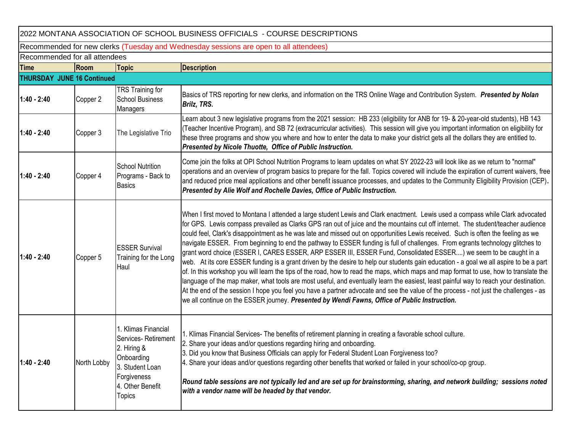| 2022 MONTANA ASSOCIATION OF SCHOOL BUSINESS OFFICIALS - COURSE DESCRIPTIONS           |             |                                                                                                                                                |                                                                                                                                                                                                                                                                                                                                                                                                                                                                                                                                                                                                                                                                                                                                                                                                                                                                                                                                                                                                                                                                                                                                                                                                                                                                                                                                      |  |  |  |  |
|---------------------------------------------------------------------------------------|-------------|------------------------------------------------------------------------------------------------------------------------------------------------|--------------------------------------------------------------------------------------------------------------------------------------------------------------------------------------------------------------------------------------------------------------------------------------------------------------------------------------------------------------------------------------------------------------------------------------------------------------------------------------------------------------------------------------------------------------------------------------------------------------------------------------------------------------------------------------------------------------------------------------------------------------------------------------------------------------------------------------------------------------------------------------------------------------------------------------------------------------------------------------------------------------------------------------------------------------------------------------------------------------------------------------------------------------------------------------------------------------------------------------------------------------------------------------------------------------------------------------|--|--|--|--|
| Recommended for new clerks (Tuesday and Wednesday sessions are open to all attendees) |             |                                                                                                                                                |                                                                                                                                                                                                                                                                                                                                                                                                                                                                                                                                                                                                                                                                                                                                                                                                                                                                                                                                                                                                                                                                                                                                                                                                                                                                                                                                      |  |  |  |  |
| Recommended for all attendees                                                         |             |                                                                                                                                                |                                                                                                                                                                                                                                                                                                                                                                                                                                                                                                                                                                                                                                                                                                                                                                                                                                                                                                                                                                                                                                                                                                                                                                                                                                                                                                                                      |  |  |  |  |
| <b>Time</b>                                                                           | Room        | <b>Topic</b>                                                                                                                                   | <b>Description</b>                                                                                                                                                                                                                                                                                                                                                                                                                                                                                                                                                                                                                                                                                                                                                                                                                                                                                                                                                                                                                                                                                                                                                                                                                                                                                                                   |  |  |  |  |
| <b>THURSDAY JUNE 16 Continued</b>                                                     |             |                                                                                                                                                |                                                                                                                                                                                                                                                                                                                                                                                                                                                                                                                                                                                                                                                                                                                                                                                                                                                                                                                                                                                                                                                                                                                                                                                                                                                                                                                                      |  |  |  |  |
| $1:40 - 2:40$                                                                         | Copper 2    | TRS Training for<br><b>School Business</b><br>Managers                                                                                         | Basics of TRS reporting for new clerks, and information on the TRS Online Wage and Contribution System. Presented by Nolan<br>Brilz, TRS.                                                                                                                                                                                                                                                                                                                                                                                                                                                                                                                                                                                                                                                                                                                                                                                                                                                                                                                                                                                                                                                                                                                                                                                            |  |  |  |  |
| $1:40 - 2:40$                                                                         | Copper 3    | The Legislative Trio                                                                                                                           | Learn about 3 new legislative programs from the 2021 session: HB 233 (eligibility for ANB for 19- & 20-year-old students), HB 143<br>(Teacher Incentive Program), and SB 72 (extracurricular activities). This session will give you important information on eligibility for<br>these three programs and show you where and how to enter the data to make your district gets all the dollars they are entitled to.<br>Presented by Nicole Thuotte, Office of Public Instruction.                                                                                                                                                                                                                                                                                                                                                                                                                                                                                                                                                                                                                                                                                                                                                                                                                                                    |  |  |  |  |
| $1:40 - 2:40$                                                                         | Copper 4    | <b>School Nutrition</b><br>Programs - Back to<br><b>Basics</b>                                                                                 | Come join the folks at OPI School Nutrition Programs to learn updates on what SY 2022-23 will look like as we return to "normal"<br>operations and an overview of program basics to prepare for the fall. Topics covered will include the expiration of current waivers, free<br>and reduced price meal applications and other benefit issuance processes, and updates to the Community Eligibility Provision (CEP).<br>Presented by Alie Wolf and Rochelle Davies, Office of Public Instruction.                                                                                                                                                                                                                                                                                                                                                                                                                                                                                                                                                                                                                                                                                                                                                                                                                                    |  |  |  |  |
| $1:40 - 2:40$                                                                         | Copper 5    | <b>ESSER Survival</b><br>Training for the Long<br>Haul                                                                                         | When I first moved to Montana I attended a large student Lewis and Clark enactment. Lewis used a compass while Clark advocated<br>for GPS. Lewis compass prevailed as Clarks GPS ran out of juice and the mountains cut off internet. The student/teacher audience<br>could feel, Clark's disappointment as he was late and missed out on opportunities Lewis received. Such is often the feeling as we<br>navigate ESSER. From beginning to end the pathway to ESSER funding is full of challenges. From egrants technology glitches to<br>grant word choice (ESSER I, CARES ESSER, ARP ESSER III, ESSER Fund, Consolidated ESSER) we seem to be caught in a<br>web. At its core ESSER funding is a grant driven by the desire to help our students gain education - a goal we all aspire to be a part<br>of. In this workshop you will learn the tips of the road, how to read the maps, which maps and map format to use, how to translate the<br>language of the map maker, what tools are most useful, and eventually learn the easiest, least painful way to reach your destination.<br>At the end of the session I hope you feel you have a partner advocate and see the value of the process - not just the challenges - as<br>we all continue on the ESSER journey. Presented by Wendi Fawns, Office of Public Instruction. |  |  |  |  |
| $1:40 - 2:40$                                                                         | North Lobby | 1. Klimas Financial<br>Services-Retirement<br>2. Hiring &<br>Onboarding<br>3. Student Loan<br>Forgiveness<br>4. Other Benefit<br><b>Topics</b> | 1. Klimas Financial Services- The benefits of retirement planning in creating a favorable school culture.<br>2. Share your ideas and/or questions regarding hiring and onboarding.<br>3. Did you know that Business Officials can apply for Federal Student Loan Forgiveness too?<br>4. Share your ideas and/or questions regarding other benefits that worked or failed in your school/co-op group.<br>Round table sessions are not typically led and are set up for brainstorming, sharing, and network building; sessions noted<br>with a vendor name will be headed by that vendor.                                                                                                                                                                                                                                                                                                                                                                                                                                                                                                                                                                                                                                                                                                                                              |  |  |  |  |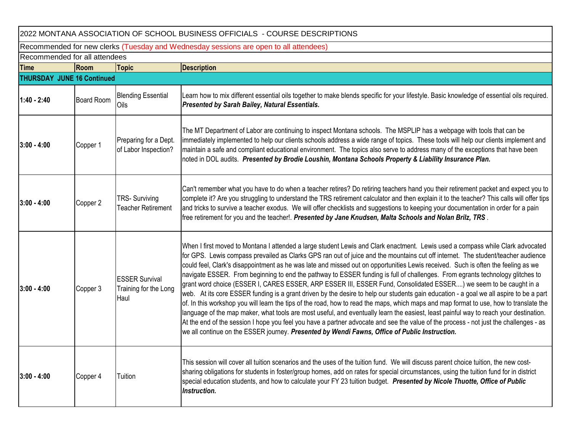| 2022 MONTANA ASSOCIATION OF SCHOOL BUSINESS OFFICIALS - COURSE DESCRIPTIONS           |                   |                                                        |                                                                                                                                                                                                                                                                                                                                                                                                                                                                                                                                                                                                                                                                                                                                                                                                                                                                                                                                                                                                                                                                                                                                                                                                                                                                                                                                      |  |  |  |
|---------------------------------------------------------------------------------------|-------------------|--------------------------------------------------------|--------------------------------------------------------------------------------------------------------------------------------------------------------------------------------------------------------------------------------------------------------------------------------------------------------------------------------------------------------------------------------------------------------------------------------------------------------------------------------------------------------------------------------------------------------------------------------------------------------------------------------------------------------------------------------------------------------------------------------------------------------------------------------------------------------------------------------------------------------------------------------------------------------------------------------------------------------------------------------------------------------------------------------------------------------------------------------------------------------------------------------------------------------------------------------------------------------------------------------------------------------------------------------------------------------------------------------------|--|--|--|
| Recommended for new clerks (Tuesday and Wednesday sessions are open to all attendees) |                   |                                                        |                                                                                                                                                                                                                                                                                                                                                                                                                                                                                                                                                                                                                                                                                                                                                                                                                                                                                                                                                                                                                                                                                                                                                                                                                                                                                                                                      |  |  |  |
| Recommended for all attendees                                                         |                   |                                                        |                                                                                                                                                                                                                                                                                                                                                                                                                                                                                                                                                                                                                                                                                                                                                                                                                                                                                                                                                                                                                                                                                                                                                                                                                                                                                                                                      |  |  |  |
| <b>Time</b>                                                                           | Room              | <b>Topic</b>                                           | <b>Description</b>                                                                                                                                                                                                                                                                                                                                                                                                                                                                                                                                                                                                                                                                                                                                                                                                                                                                                                                                                                                                                                                                                                                                                                                                                                                                                                                   |  |  |  |
| <b>THURSDAY JUNE 16 Continued</b>                                                     |                   |                                                        |                                                                                                                                                                                                                                                                                                                                                                                                                                                                                                                                                                                                                                                                                                                                                                                                                                                                                                                                                                                                                                                                                                                                                                                                                                                                                                                                      |  |  |  |
| $1:40 - 2:40$                                                                         | <b>Board Room</b> | <b>Blending Essential</b><br>Oils                      | Learn how to mix different essential oils together to make blends specific for your lifestyle. Basic knowledge of essential oils required.<br>Presented by Sarah Bailey, Natural Essentials.                                                                                                                                                                                                                                                                                                                                                                                                                                                                                                                                                                                                                                                                                                                                                                                                                                                                                                                                                                                                                                                                                                                                         |  |  |  |
| $3:00 - 4:00$                                                                         | Copper 1          | Preparing for a Dept.<br>of Labor Inspection?          | The MT Department of Labor are continuing to inspect Montana schools. The MSPLIP has a webpage with tools that can be<br>immediately implemented to help our clients schools address a wide range of topics. These tools will help our clients implement and<br>maintain a safe and compliant educational environment. The topics also serve to address many of the exceptions that have been<br>noted in DOL audits. Presented by Brodie Loushin, Montana Schools Property & Liability Insurance Plan.                                                                                                                                                                                                                                                                                                                                                                                                                                                                                                                                                                                                                                                                                                                                                                                                                              |  |  |  |
| $3:00 - 4:00$                                                                         | Copper 2          | <b>TRS-Surviving</b><br><b>Teacher Retirement</b>      | Can't remember what you have to do when a teacher retires? Do retiring teachers hand you their retirement packet and expect you to<br>complete it? Are you struggling to understand the TRS retirement calculator and then explain it to the teacher? This calls will offer tips<br>and tricks to survive a teacher exodus. We will offer checklists and suggestions to keeping your documentation in order for a pain<br>free retirement for you and the teacher!. Presented by Jane Knudsen, Malta Schools and Nolan Brilz, TRS.                                                                                                                                                                                                                                                                                                                                                                                                                                                                                                                                                                                                                                                                                                                                                                                                   |  |  |  |
| 3:00 - 4:00                                                                           | Copper 3          | <b>ESSER Survival</b><br>Training for the Long<br>Haul | When I first moved to Montana I attended a large student Lewis and Clark enactment. Lewis used a compass while Clark advocated<br>for GPS. Lewis compass prevailed as Clarks GPS ran out of juice and the mountains cut off internet. The student/teacher audience<br>could feel, Clark's disappointment as he was late and missed out on opportunities Lewis received. Such is often the feeling as we<br>navigate ESSER. From beginning to end the pathway to ESSER funding is full of challenges. From egrants technology glitches to<br>grant word choice (ESSER I, CARES ESSER, ARP ESSER III, ESSER Fund, Consolidated ESSER) we seem to be caught in a<br>web. At its core ESSER funding is a grant driven by the desire to help our students gain education - a goal we all aspire to be a part<br>of. In this workshop you will learn the tips of the road, how to read the maps, which maps and map format to use, how to translate the<br>language of the map maker, what tools are most useful, and eventually learn the easiest, least painful way to reach your destination.<br>At the end of the session I hope you feel you have a partner advocate and see the value of the process - not just the challenges - as<br>we all continue on the ESSER journey. Presented by Wendi Fawns, Office of Public Instruction. |  |  |  |
| $3:00 - 4:00$                                                                         | Copper 4          | Tuition                                                | This session will cover all tuition scenarios and the uses of the tuition fund. We will discuss parent choice tuition, the new cost-<br>sharing obligations for students in foster/group homes, add on rates for special circumstances, using the tuition fund for in district<br>special education students, and how to calculate your FY 23 tuition budget. Presented by Nicole Thuotte, Office of Public<br><b>Instruction.</b>                                                                                                                                                                                                                                                                                                                                                                                                                                                                                                                                                                                                                                                                                                                                                                                                                                                                                                   |  |  |  |